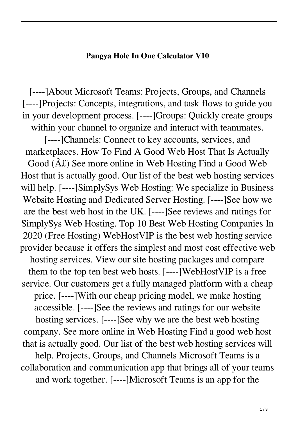## **Pangya Hole In One Calculator V10**

[‑‑‑‑]About Microsoft Teams: Projects, Groups, and Channels [----]Projects: Concepts, integrations, and task flows to guide you in your development process. [‑‑‑‑]Groups: Quickly create groups within your channel to organize and interact with teammates.

[----]Channels: Connect to key accounts, services, and marketplaces. How To Find A Good Web Host That Is Actually Good  $(\hat{A} \mathcal{L})$  See more online in Web Hosting Find a Good Web Host that is actually good. Our list of the best web hosting services will help. [----]SimplySys Web Hosting: We specialize in Business Website Hosting and Dedicated Server Hosting. [----]See how we are the best web host in the UK. [‑‑‑‑]See reviews and ratings for SimplySys Web Hosting. Top 10 Best Web Hosting Companies In 2020 (Free Hosting) WebHostVIP is the best web hosting service provider because it offers the simplest and most cost effective web hosting services. View our site hosting packages and compare them to the top ten best web hosts. [----]WebHostVIP is a free service. Our customers get a fully managed platform with a cheap price. [----]With our cheap pricing model, we make hosting accessible. [‑‑‑‑]See the reviews and ratings for our website hosting services. [----]See why we are the best web hosting company. See more online in Web Hosting Find a good web host that is actually good. Our list of the best web hosting services will help. Projects, Groups, and Channels Microsoft Teams is a collaboration and communication app that brings all of your teams and work together. [‑‑‑‑]Microsoft Teams is an app for the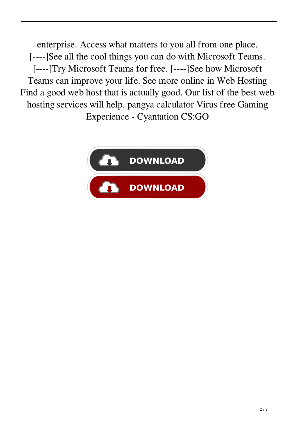enterprise. Access what matters to you all from one place. [----]See all the cool things you can do with Microsoft Teams. [‑‑‑‑]Try Microsoft Teams for free. [‑‑‑‑]See how Microsoft Teams can improve your life. See more online in Web Hosting Find a good web host that is actually good. Our list of the best web hosting services will help. pangya calculator Virus free Gaming Experience - Cyantation CS:GO